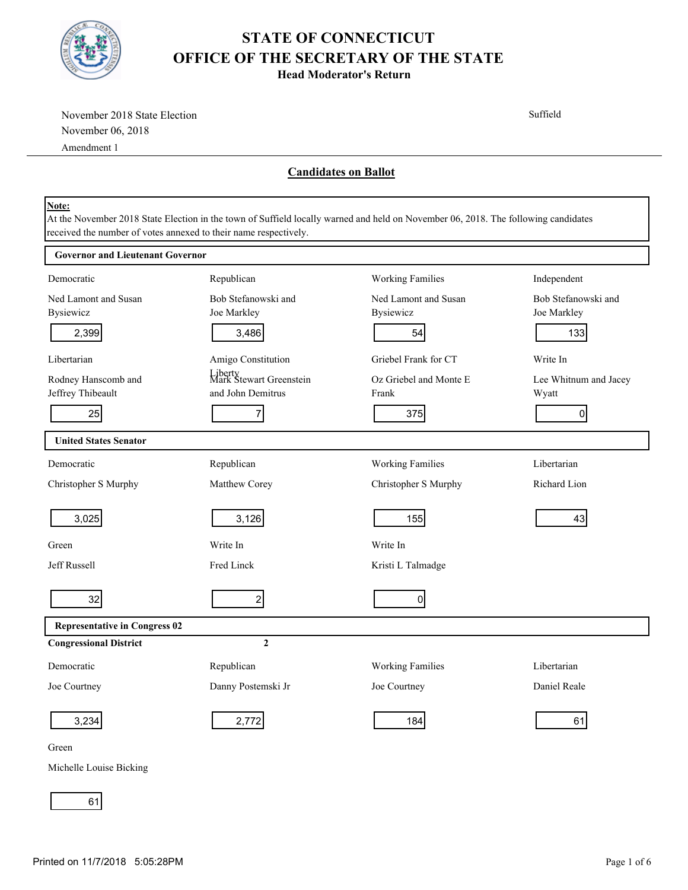

**Head Moderator's Return**

| November 2018 State Election            |                                                                                                                                                                                                        |                             | Suffield              |  |
|-----------------------------------------|--------------------------------------------------------------------------------------------------------------------------------------------------------------------------------------------------------|-----------------------------|-----------------------|--|
| November 06, 2018                       |                                                                                                                                                                                                        |                             |                       |  |
| Amendment 1                             |                                                                                                                                                                                                        |                             |                       |  |
|                                         |                                                                                                                                                                                                        | <b>Candidates on Ballot</b> |                       |  |
| Note:                                   | At the November 2018 State Election in the town of Suffield locally warned and held on November 06, 2018. The following candidates<br>received the number of votes annexed to their name respectively. |                             |                       |  |
| <b>Governor and Lieutenant Governor</b> |                                                                                                                                                                                                        |                             |                       |  |
| Democratic                              | Republican                                                                                                                                                                                             | <b>Working Families</b>     | Independent           |  |
| Ned Lamont and Susan                    | Bob Stefanowski and                                                                                                                                                                                    | Ned Lamont and Susan        | Bob Stefanowski and   |  |
| <b>Bysiewicz</b>                        | Joe Markley                                                                                                                                                                                            | <b>Bysiewicz</b>            | Joe Markley           |  |
| 2,399                                   | 3,486                                                                                                                                                                                                  | 54                          | 133                   |  |
| Libertarian                             | Amigo Constitution                                                                                                                                                                                     | Griebel Frank for CT        | Write In              |  |
| Rodney Hanscomb and                     | Liberty<br>Mark Stewart Greenstein                                                                                                                                                                     | Oz Griebel and Monte E      | Lee Whitnum and Jacey |  |
| Jeffrey Thibeault                       | and John Demitrus                                                                                                                                                                                      | Frank                       | Wyatt                 |  |
| 25                                      | 7                                                                                                                                                                                                      | 375                         | $\overline{0}$        |  |
| <b>United States Senator</b>            |                                                                                                                                                                                                        |                             |                       |  |
| Democratic                              | Republican                                                                                                                                                                                             | <b>Working Families</b>     | Libertarian           |  |
| Christopher S Murphy                    | Matthew Corey                                                                                                                                                                                          | Christopher S Murphy        | Richard Lion          |  |
| 3,025                                   | 3,126                                                                                                                                                                                                  | 155                         | 43                    |  |
| Green                                   | Write In                                                                                                                                                                                               | Write In                    |                       |  |
| Jeff Russell                            | Fred Linck                                                                                                                                                                                             | Kristi L Talmadge           |                       |  |
| 32                                      | 2                                                                                                                                                                                                      | $\overline{0}$              |                       |  |
| <b>Representative in Congress 02</b>    |                                                                                                                                                                                                        |                             |                       |  |
| <b>Congressional District</b>           | $\mathbf{2}$                                                                                                                                                                                           |                             |                       |  |
| Democratic                              | Republican                                                                                                                                                                                             | <b>Working Families</b>     | Libertarian           |  |
| Joe Courtney                            | Danny Postemski Jr                                                                                                                                                                                     | Joe Courtney                | Daniel Reale          |  |
| 3,234                                   | 2,772                                                                                                                                                                                                  | 184                         | 61                    |  |
| Green                                   |                                                                                                                                                                                                        |                             |                       |  |

Michelle Louise Bicking

61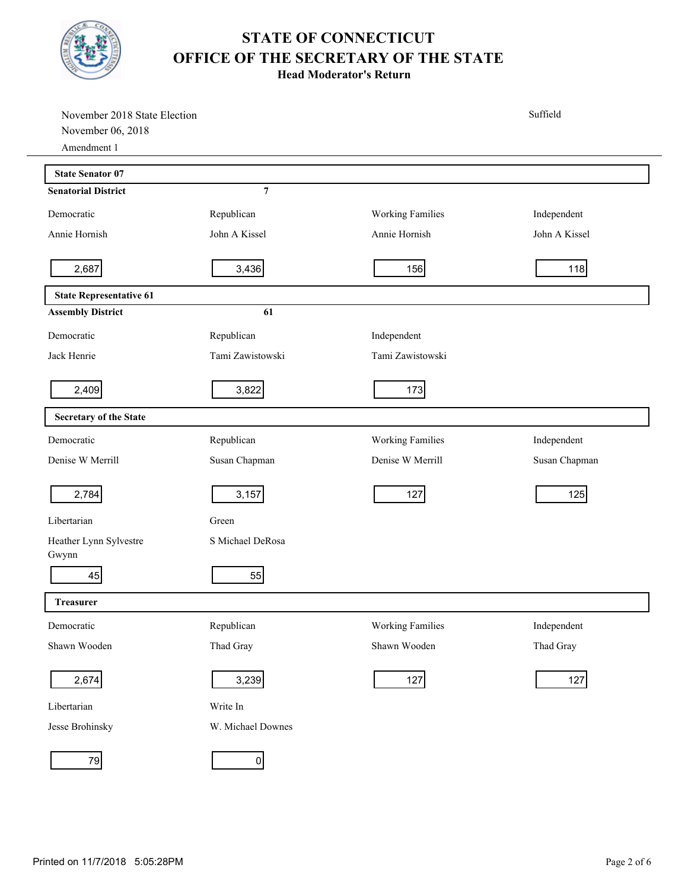

**Head Moderator's Return**

| November 2018 State Election<br>November 06, 2018 |                   |                         | Suffield      |
|---------------------------------------------------|-------------------|-------------------------|---------------|
| Amendment 1                                       |                   |                         |               |
| <b>State Senator 07</b>                           |                   |                         |               |
| <b>Senatorial District</b>                        | $\overline{7}$    |                         |               |
| Democratic                                        | Republican        | <b>Working Families</b> | Independent   |
| Annie Hornish                                     | John A Kissel     | Annie Hornish           | John A Kissel |
| 2,687                                             | 3,436             | 156                     | 118           |
| <b>State Representative 61</b>                    |                   |                         |               |
| <b>Assembly District</b>                          | 61                |                         |               |
| Democratic                                        | Republican        | Independent             |               |
| Jack Henrie                                       | Tami Zawistowski  | Tami Zawistowski        |               |
| 2,409                                             | 3,822             | 173                     |               |
| <b>Secretary of the State</b>                     |                   |                         |               |
| Democratic                                        | Republican        | <b>Working Families</b> | Independent   |
| Denise W Merrill                                  | Susan Chapman     | Denise W Merrill        | Susan Chapman |
| 2,784                                             | 3,157             | 127                     | 125           |
| Libertarian                                       | Green             |                         |               |
| Heather Lynn Sylvestre<br>Gwynn                   | S Michael DeRosa  |                         |               |
| 45                                                | 55                |                         |               |
| <b>Treasurer</b>                                  |                   |                         |               |
| Democratic                                        | Republican        | <b>Working Families</b> | Independent   |
| Shawn Wooden                                      | Thad Gray         | Shawn Wooden            | Thad Gray     |
| 2,674                                             | 3,239             | 127                     | 127           |
| Libertarian                                       | Write In          |                         |               |
| Jesse Brohinsky                                   | W. Michael Downes |                         |               |
| 79                                                | $\overline{0}$    |                         |               |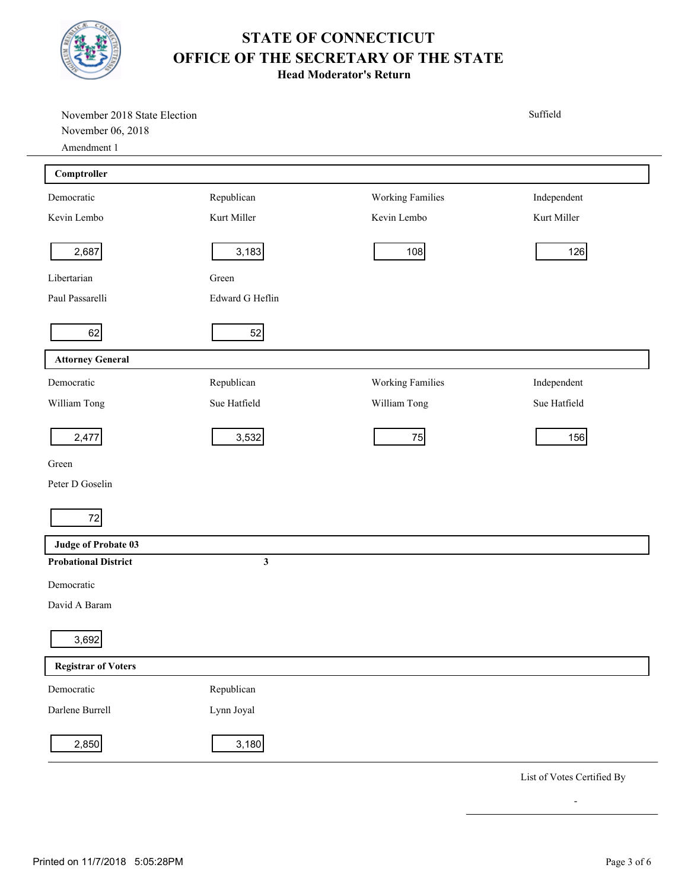

**Head Moderator's Return**

| November 2018 State Election<br>November 06, 2018<br>Amendment 1 |                 |                         | Suffield                   |
|------------------------------------------------------------------|-----------------|-------------------------|----------------------------|
| Comptroller                                                      |                 |                         |                            |
| Democratic                                                       | Republican      | <b>Working Families</b> | Independent                |
| Kevin Lembo                                                      | Kurt Miller     | Kevin Lembo             | Kurt Miller                |
| 2,687                                                            | 3,183           | 108                     | 126                        |
| Libertarian                                                      | Green           |                         |                            |
| Paul Passarelli                                                  | Edward G Heflin |                         |                            |
| 62                                                               | 52              |                         |                            |
| <b>Attorney General</b>                                          |                 |                         |                            |
| Democratic                                                       | Republican      | Working Families        | Independent                |
| William Tong                                                     | Sue Hatfield    | William Tong            | Sue Hatfield               |
| 2,477                                                            | 3,532           | 75                      | 156                        |
| Green                                                            |                 |                         |                            |
| Peter D Goselin                                                  |                 |                         |                            |
| 72                                                               |                 |                         |                            |
| <b>Judge of Probate 03</b>                                       |                 |                         |                            |
| <b>Probational District</b>                                      | $\mathbf{3}$    |                         |                            |
| Democratic                                                       |                 |                         |                            |
| David A Baram                                                    |                 |                         |                            |
| 3,692                                                            |                 |                         |                            |
| <b>Registrar of Voters</b>                                       |                 |                         |                            |
| Democratic                                                       | Republican      |                         |                            |
| Darlene Burrell                                                  | Lynn Joyal      |                         |                            |
| 2,850                                                            | 3,180           |                         |                            |
|                                                                  |                 |                         | List of Votes Certified By |

-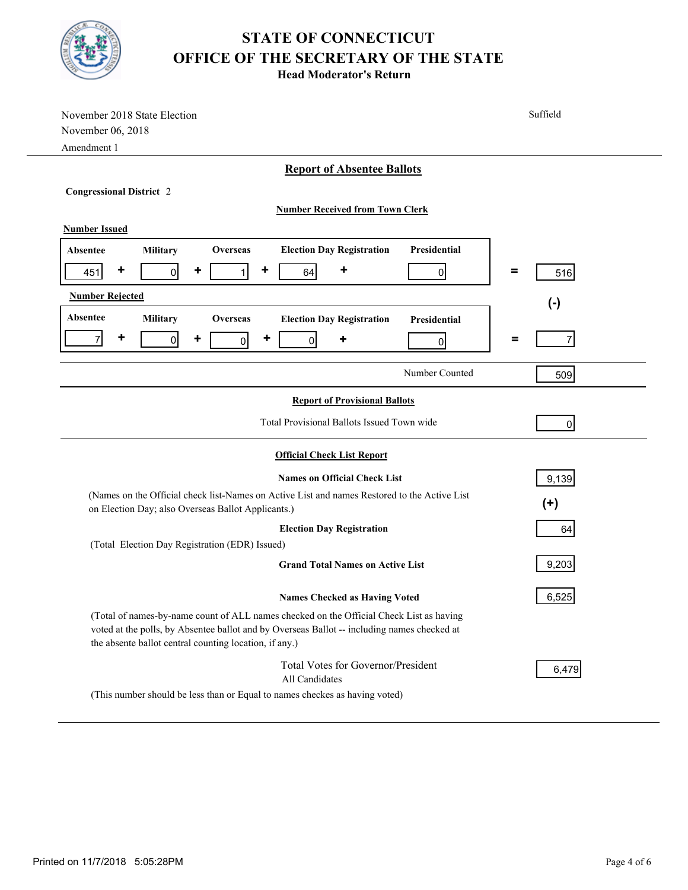

**Head Moderator's Return**

| November 2018 State Election                                                                       | Suffield           |  |  |  |  |
|----------------------------------------------------------------------------------------------------|--------------------|--|--|--|--|
| November 06, 2018                                                                                  |                    |  |  |  |  |
| Amendment 1                                                                                        |                    |  |  |  |  |
| <b>Report of Absentee Ballots</b>                                                                  |                    |  |  |  |  |
| <b>Congressional District 2</b>                                                                    |                    |  |  |  |  |
| <b>Number Received from Town Clerk</b>                                                             |                    |  |  |  |  |
| <b>Number Issued</b>                                                                               |                    |  |  |  |  |
|                                                                                                    |                    |  |  |  |  |
| Presidential<br><b>Overseas</b><br><b>Election Day Registration</b><br><b>Military</b><br>Absentee |                    |  |  |  |  |
| ٠<br>٠<br>٠<br> 0 <br>٠<br>451<br>$\mathbf{1}$<br>64<br>$\Omega$                                   | $\equiv$<br>516    |  |  |  |  |
| <b>Number Rejected</b>                                                                             | $(\textnormal{-})$ |  |  |  |  |
| Absentee<br>Military<br>Overseas<br><b>Election Day Registration</b><br>Presidential               |                    |  |  |  |  |
| ٠<br>٠<br>$\overline{7}$<br>٠<br>$\overline{0}$<br>$\overline{0}$<br>$\overline{0}$<br>٠           | Ξ<br>7             |  |  |  |  |
| $\Omega$                                                                                           |                    |  |  |  |  |
| Number Counted                                                                                     | 509                |  |  |  |  |
| <b>Report of Provisional Ballots</b>                                                               |                    |  |  |  |  |
|                                                                                                    |                    |  |  |  |  |
| Total Provisional Ballots Issued Town wide<br>$\overline{0}$                                       |                    |  |  |  |  |
| <b>Official Check List Report</b>                                                                  |                    |  |  |  |  |
| <b>Names on Official Check List</b>                                                                | 9,139              |  |  |  |  |
| (Names on the Official check list-Names on Active List and names Restored to the Active List       |                    |  |  |  |  |
| $(+)$<br>on Election Day; also Overseas Ballot Applicants.)                                        |                    |  |  |  |  |
| <b>Election Day Registration</b><br>64                                                             |                    |  |  |  |  |
| (Total Election Day Registration (EDR) Issued)                                                     |                    |  |  |  |  |
| <b>Grand Total Names on Active List</b>                                                            | 9,203              |  |  |  |  |
| <b>Names Checked as Having Voted</b>                                                               | 6,525              |  |  |  |  |
| (Total of names-by-name count of ALL names checked on the Official Check List as having            |                    |  |  |  |  |
| voted at the polls, by Absentee ballot and by Overseas Ballot -- including names checked at        |                    |  |  |  |  |
| the absente ballot central counting location, if any.)                                             |                    |  |  |  |  |
| Total Votes for Governor/President                                                                 | 6,479              |  |  |  |  |
| All Candidates                                                                                     |                    |  |  |  |  |
| (This number should be less than or Equal to names checkes as having voted)                        |                    |  |  |  |  |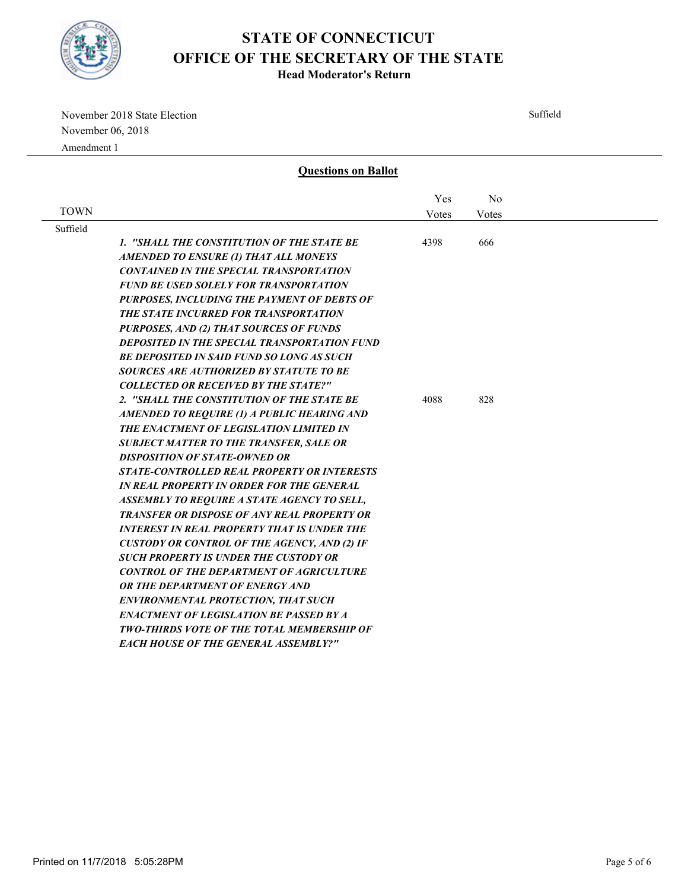

**Head Moderator's Return**

November 2018 State Election November 06, 2018 Amendment 1

Suffield **Questions on Ballot** TOWN No Votes Yes Votes Suffield *1. "SHALL THE CONSTITUTION OF THE STATE BE AMENDED TO ENSURE (1) THAT ALL MONEYS CONTAINED IN THE SPECIAL TRANSPORTATION FUND BE USED SOLELY FOR TRANSPORTATION PURPOSES, INCLUDING THE PAYMENT OF DEBTS OF THE STATE INCURRED FOR TRANSPORTATION PURPOSES, AND (2) THAT SOURCES OF FUNDS DEPOSITED IN THE SPECIAL TRANSPORTATION FUND BE DEPOSITED IN SAID FUND SO LONG AS SUCH SOURCES ARE AUTHORIZED BY STATUTE TO BE COLLECTED OR RECEIVED BY THE STATE?"* 4398 666 *2. "SHALL THE CONSTITUTION OF THE STATE BE AMENDED TO REQUIRE (1) A PUBLIC HEARING AND THE ENACTMENT OF LEGISLATION LIMITED IN SUBJECT MATTER TO THE TRANSFER, SALE OR DISPOSITION OF STATE-OWNED OR STATE-CONTROLLED REAL PROPERTY OR INTERESTS IN REAL PROPERTY IN ORDER FOR THE GENERAL ASSEMBLY TO REQUIRE A STATE AGENCY TO SELL, TRANSFER OR DISPOSE OF ANY REAL PROPERTY OR INTEREST IN REAL PROPERTY THAT IS UNDER THE CUSTODY OR CONTROL OF THE AGENCY, AND (2) IF SUCH PROPERTY IS UNDER THE CUSTODY OR CONTROL OF THE DEPARTMENT OF AGRICULTURE*  4088 828

*OR THE DEPARTMENT OF ENERGY AND ENVIRONMENTAL PROTECTION, THAT SUCH ENACTMENT OF LEGISLATION BE PASSED BY A TWO-THIRDS VOTE OF THE TOTAL MEMBERSHIP OF* 

*EACH HOUSE OF THE GENERAL ASSEMBLY?"*